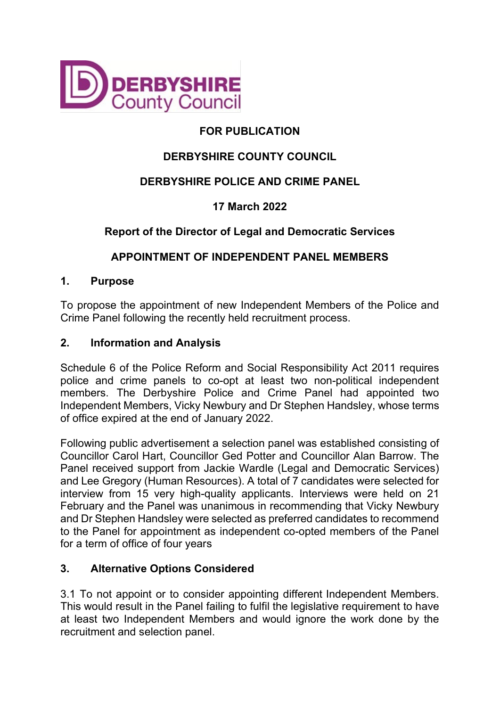

# **FOR PUBLICATION**

# **DERBYSHIRE COUNTY COUNCIL**

# **DERBYSHIRE POLICE AND CRIME PANEL**

# **17 March 2022**

# **Report of the Director of Legal and Democratic Services**

# **APPOINTMENT OF INDEPENDENT PANEL MEMBERS**

#### **1. Purpose**

To propose the appointment of new Independent Members of the Police and Crime Panel following the recently held recruitment process.

### **2. Information and Analysis**

Schedule 6 of the Police Reform and Social Responsibility Act 2011 requires police and crime panels to co-opt at least two non-political independent members. The Derbyshire Police and Crime Panel had appointed two Independent Members, Vicky Newbury and Dr Stephen Handsley, whose terms of office expired at the end of January 2022.

Following public advertisement a selection panel was established consisting of Councillor Carol Hart, Councillor Ged Potter and Councillor Alan Barrow. The Panel received support from Jackie Wardle (Legal and Democratic Services) and Lee Gregory (Human Resources). A total of 7 candidates were selected for interview from 15 very high-quality applicants. Interviews were held on 21 February and the Panel was unanimous in recommending that Vicky Newbury and Dr Stephen Handsley were selected as preferred candidates to recommend to the Panel for appointment as independent co-opted members of the Panel for a term of office of four years

### **3. Alternative Options Considered**

3.1 To not appoint or to consider appointing different Independent Members. This would result in the Panel failing to fulfil the legislative requirement to have at least two Independent Members and would ignore the work done by the recruitment and selection panel.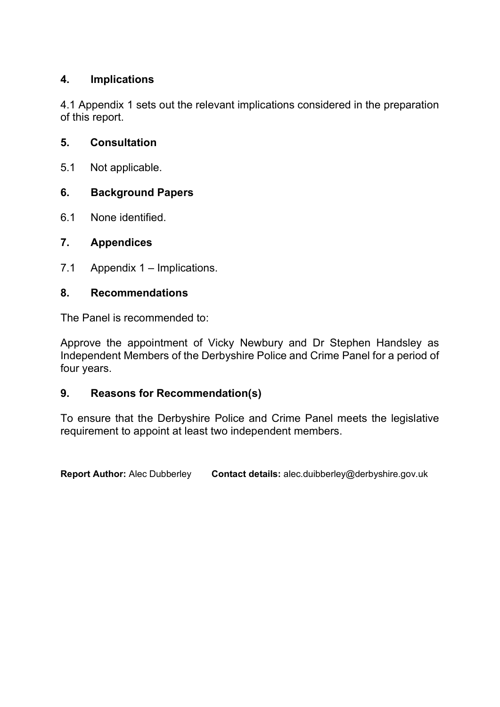## **4. Implications**

4.1 Appendix 1 sets out the relevant implications considered in the preparation of this report.

## **5. Consultation**

5.1 Not applicable.

### **6. Background Papers**

6.1 None identified.

### **7. Appendices**

7.1 Appendix 1 – Implications.

#### **8. Recommendations**

The Panel is recommended to:

Approve the appointment of Vicky Newbury and Dr Stephen Handsley as Independent Members of the Derbyshire Police and Crime Panel for a period of four years.

### **9. Reasons for Recommendation(s)**

To ensure that the Derbyshire Police and Crime Panel meets the legislative requirement to appoint at least two independent members.

**Report Author:** Alec Dubberley **Contact details:** alec.duibberley@derbyshire.gov.uk